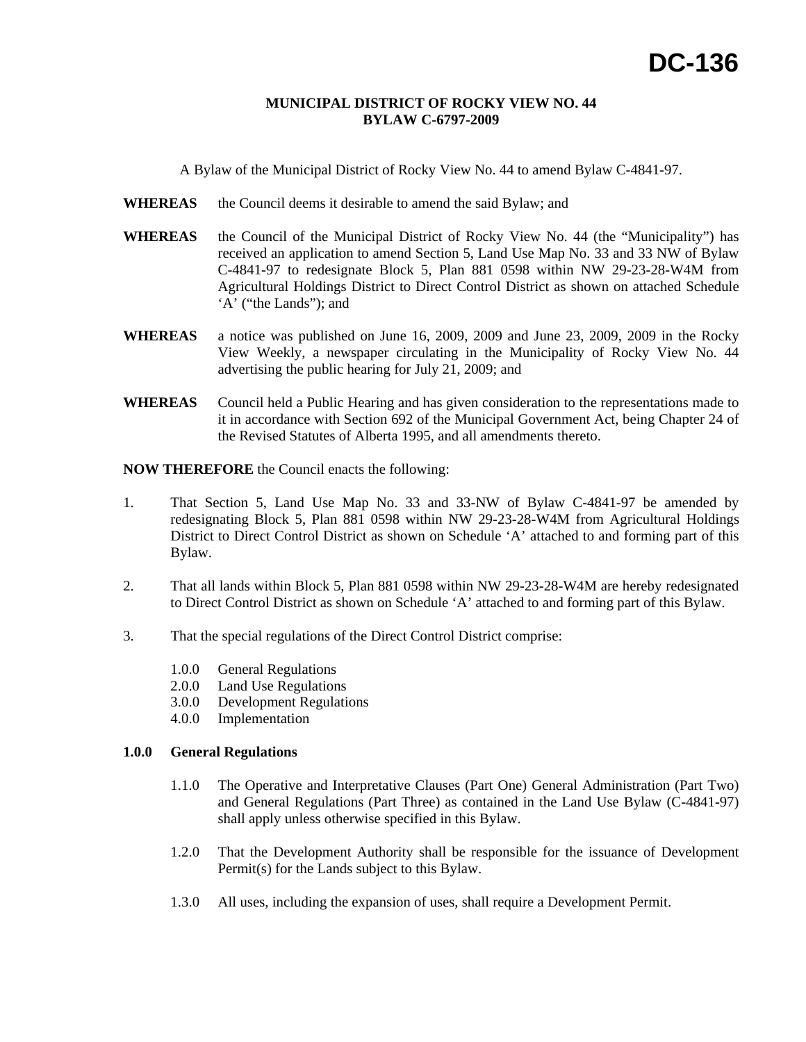#### **MUNICIPAL DISTRICT OF ROCKY VIEW NO. 44 BYLAW C-6797-2009**

A Bylaw of the Municipal District of Rocky View No. 44 to amend Bylaw C-4841-97.

- WHEREAS the Council deems it desirable to amend the said Bylaw; and
- **WHEREAS** the Council of the Municipal District of Rocky View No. 44 (the "Municipality") has received an application to amend Section 5, Land Use Map No. 33 and 33 NW of Bylaw C-4841-97 to redesignate Block 5, Plan 881 0598 within NW 29-23-28-W4M from Agricultural Holdings District to Direct Control District as shown on attached Schedule 'A' ("the Lands"); and
- **WHEREAS** a notice was published on June 16, 2009, 2009 and June 23, 2009, 2009 in the Rocky View Weekly, a newspaper circulating in the Municipality of Rocky View No. 44 advertising the public hearing for July 21, 2009; and
- **WHEREAS** Council held a Public Hearing and has given consideration to the representations made to it in accordance with Section 692 of the Municipal Government Act, being Chapter 24 of the Revised Statutes of Alberta 1995, and all amendments thereto.

**NOW THEREFORE** the Council enacts the following:

- 1. That Section 5, Land Use Map No. 33 and 33-NW of Bylaw C-4841-97 be amended by redesignating Block 5, Plan 881 0598 within NW 29-23-28-W4M from Agricultural Holdings District to Direct Control District as shown on Schedule 'A' attached to and forming part of this Bylaw.
- 2. That all lands within Block 5, Plan 881 0598 within NW 29-23-28-W4M are hereby redesignated to Direct Control District as shown on Schedule 'A' attached to and forming part of this Bylaw.
- 3. That the special regulations of the Direct Control District comprise:
	- 1.0.0 General Regulations
	- 2.0.0 Land Use Regulations
	- 3.0.0 Development Regulations
	- 4.0.0 Implementation

### **1.0.0 General Regulations**

- 1.1.0 The Operative and Interpretative Clauses (Part One) General Administration (Part Two) and General Regulations (Part Three) as contained in the Land Use Bylaw (C-4841-97) shall apply unless otherwise specified in this Bylaw.
- 1.2.0 That the Development Authority shall be responsible for the issuance of Development Permit(s) for the Lands subject to this Bylaw.
- 1.3.0 All uses, including the expansion of uses, shall require a Development Permit.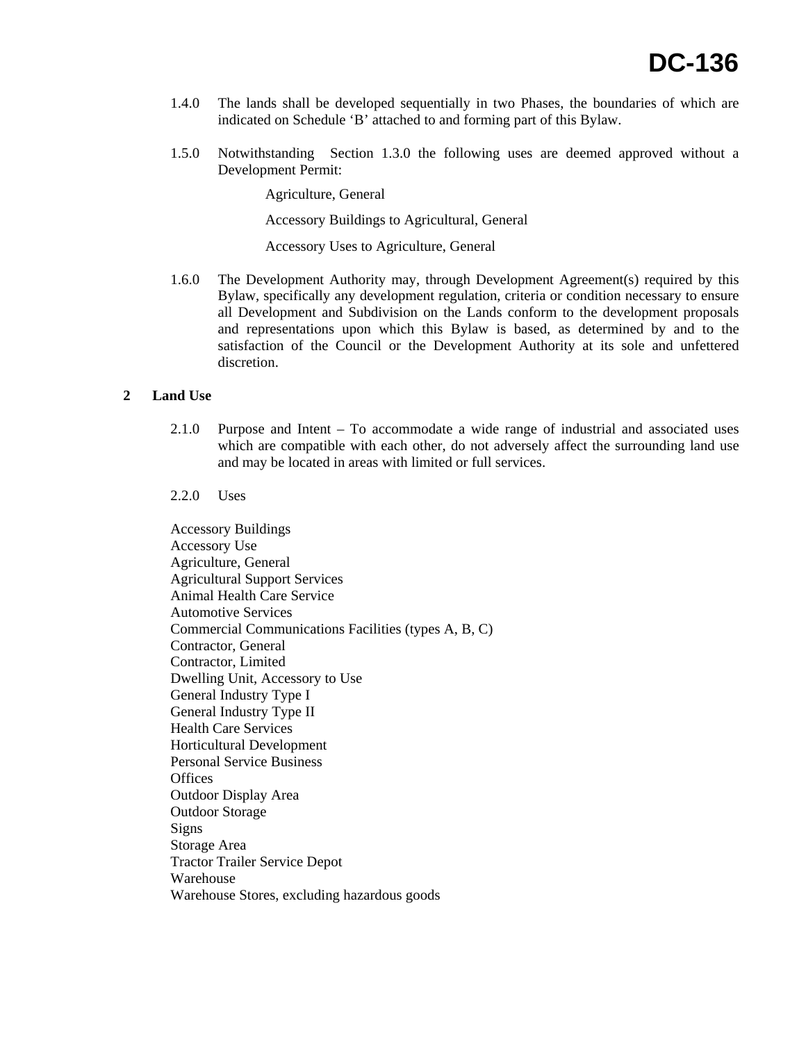- 1.4.0 The lands shall be developed sequentially in two Phases, the boundaries of which are indicated on Schedule 'B' attached to and forming part of this Bylaw.
- 1.5.0 Notwithstanding Section 1.3.0 the following uses are deemed approved without a Development Permit:

Agriculture, General

Accessory Buildings to Agricultural, General

Accessory Uses to Agriculture, General

1.6.0 The Development Authority may, through Development Agreement(s) required by this Bylaw, specifically any development regulation, criteria or condition necessary to ensure all Development and Subdivision on the Lands conform to the development proposals and representations upon which this Bylaw is based, as determined by and to the satisfaction of the Council or the Development Authority at its sole and unfettered discretion.

## **2 Land Use**

- 2.1.0 Purpose and Intent To accommodate a wide range of industrial and associated uses which are compatible with each other, do not adversely affect the surrounding land use and may be located in areas with limited or full services.
- 2.2.0 Uses

Accessory Buildings Accessory Use Agriculture, General Agricultural Support Services Animal Health Care Service Automotive Services Commercial Communications Facilities (types A, B, C) Contractor, General Contractor, Limited Dwelling Unit, Accessory to Use General Industry Type I General Industry Type II Health Care Services Horticultural Development Personal Service Business **Offices** Outdoor Display Area Outdoor Storage Signs Storage Area Tractor Trailer Service Depot Warehouse Warehouse Stores, excluding hazardous goods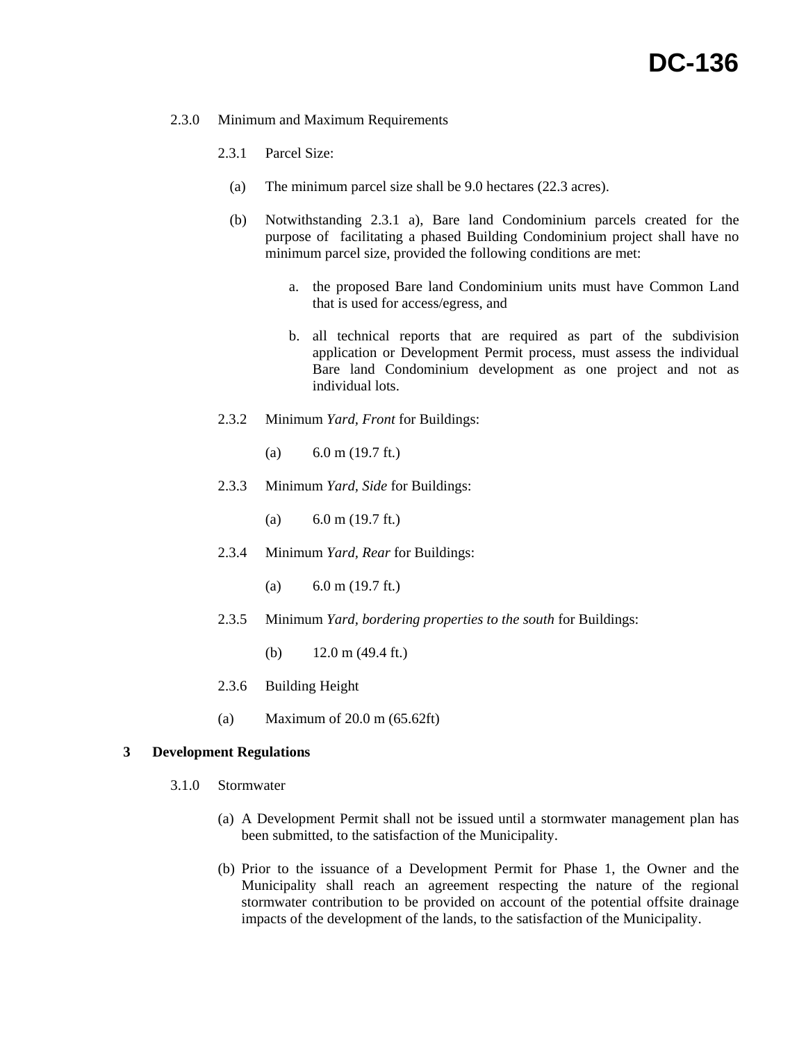### 2.3.0 Minimum and Maximum Requirements

- 2.3.1 Parcel Size:
	- (a) The minimum parcel size shall be 9.0 hectares (22.3 acres).
	- (b) Notwithstanding 2.3.1 a), Bare land Condominium parcels created for the purpose of facilitating a phased Building Condominium project shall have no minimum parcel size, provided the following conditions are met:
		- a. the proposed Bare land Condominium units must have Common Land that is used for access/egress, and
		- b. all technical reports that are required as part of the subdivision application or Development Permit process, must assess the individual Bare land Condominium development as one project and not as individual lots.
- 2.3.2 Minimum *Yard, Front* for Buildings:
	- (a)  $6.0 \text{ m}$  (19.7 ft.)
- 2.3.3 Minimum *Yard, Side* for Buildings:

(a)  $6.0 \text{ m}$  (19.7 ft.)

- 2.3.4 Minimum *Yard, Rear* for Buildings:
	- (a)  $6.0 \text{ m}$  (19.7 ft.)
- 2.3.5 Minimum *Yard, bordering properties to the south* for Buildings:
	- (b)  $12.0 \text{ m} (49.4 \text{ ft.})$
- 2.3.6 Building Height
- (a) Maximum of 20.0 m (65.62ft)

## **3 Development Regulations**

- 3.1.0 Stormwater
	- (a) A Development Permit shall not be issued until a stormwater management plan has been submitted, to the satisfaction of the Municipality.
	- (b) Prior to the issuance of a Development Permit for Phase 1, the Owner and the Municipality shall reach an agreement respecting the nature of the regional stormwater contribution to be provided on account of the potential offsite drainage impacts of the development of the lands, to the satisfaction of the Municipality.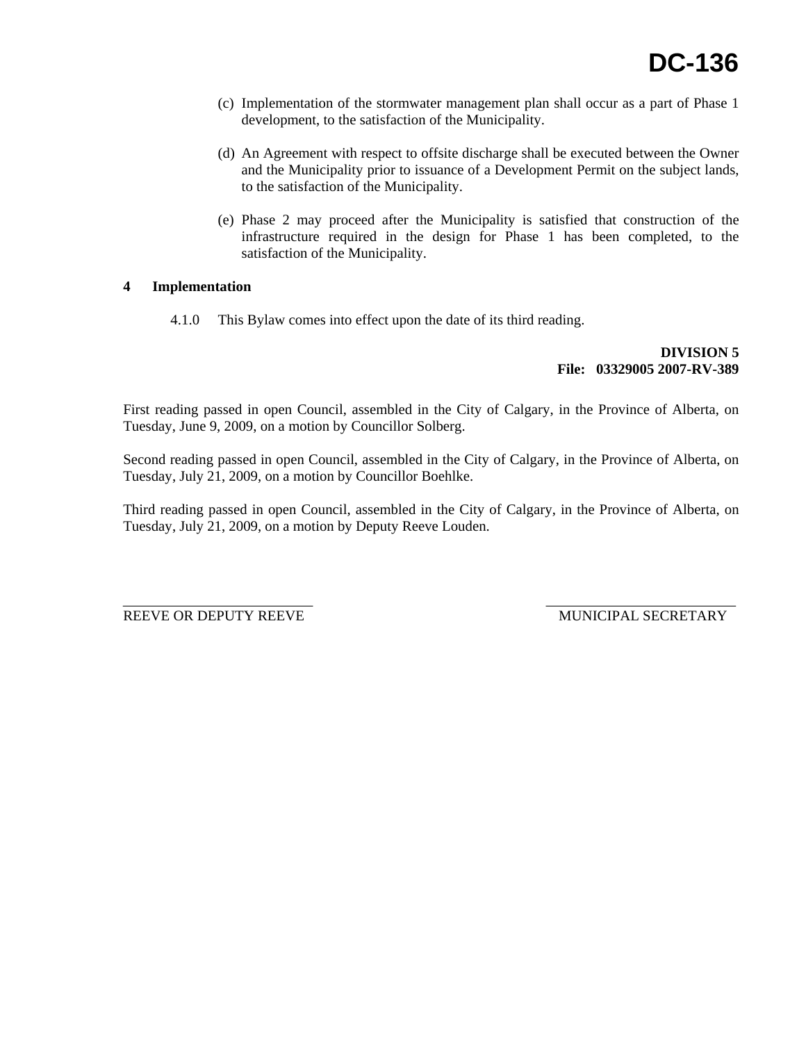- (c) Implementation of the stormwater management plan shall occur as a part of Phase 1 development, to the satisfaction of the Municipality.
- (d) An Agreement with respect to offsite discharge shall be executed between the Owner and the Municipality prior to issuance of a Development Permit on the subject lands, to the satisfaction of the Municipality.
- (e) Phase 2 may proceed after the Municipality is satisfied that construction of the infrastructure required in the design for Phase 1 has been completed, to the satisfaction of the Municipality.

# **4 Implementation**

4.1.0 This Bylaw comes into effect upon the date of its third reading.

 **DIVISION 5 File: 03329005 2007-RV-389** 

First reading passed in open Council, assembled in the City of Calgary, in the Province of Alberta, on Tuesday, June 9, 2009, on a motion by Councillor Solberg.

Second reading passed in open Council, assembled in the City of Calgary, in the Province of Alberta, on Tuesday, July 21, 2009, on a motion by Councillor Boehlke.

Third reading passed in open Council, assembled in the City of Calgary, in the Province of Alberta, on Tuesday, July 21, 2009, on a motion by Deputy Reeve Louden.

REEVE OR DEPUTY REEVE **Example 2008** MUNICIPAL SECRETARY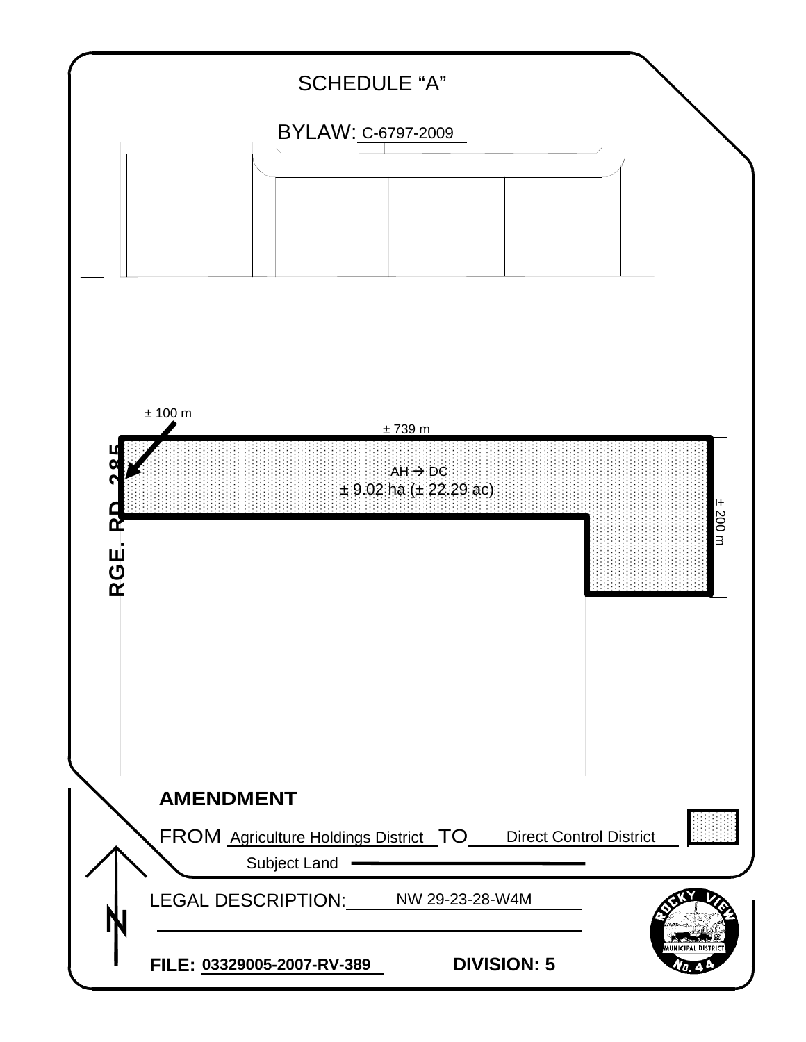